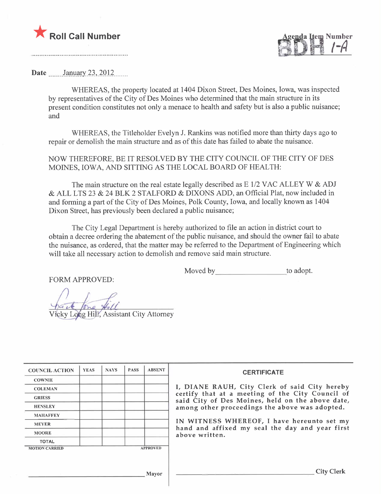

p....~.1 ~ iYt. i-A J';JI ~ ,"

Date \_\_\_\_ January 23, 2012

WHEREAS, the property located at 1404 Dixon Street, Des Moines, Iowa, was inspected by representatives of the City of Des Moines who determined that the main structure in its present condition constitutes not only a menace to health and safety but is also a public nuisance; and

WHEREAS, the Titleholder Evelyn J. Rankins was notified more than thirty days ago to repair or demolish the main structure and as of this date has failed to abate the nuisance.

NOW THEREFORE, BE IT RESOLVED BY THE CITY COUNCIL OF THE CITY OF DES MOINES, IOWA, AND SITTING AS THE LOCAL BOARD OF HEALTH:

The main structure on the real estate legally described as  $E$  1/2 VAC ALLEY W  $\&$  ADJ & ALL LTS 23 & 24 BLK 2 STALFORD & DIXONS ADD, an Official Plat, now included in and forming a part of the City of Des Moines, Polk County, Iowa, and locally known as 1404 Dixon Street, has previously been declared a public nuisance;

The City Legal Department is hereby authorized to fie an action in district court to obtain a decree ordering the abatement of the public nuisance, and should the owner fail to abate the nuisance, as ordered, that the matter may be referred to the Department of Engineering which will take all necessary action to demolish and remove said main structure.

Moved by to adopt.

FORM APPROVED:

icky Long Hill, Assistant City Attorney

| <b>COUNCIL ACTION</b> | <b>YEAS</b> | <b>NAYS</b> | <b>PASS</b> | <b>ABSENT</b>   | <b>CERTIFICATE</b>                                                                                   |
|-----------------------|-------------|-------------|-------------|-----------------|------------------------------------------------------------------------------------------------------|
| <b>COWNIE</b>         |             |             |             |                 |                                                                                                      |
| <b>COLEMAN</b>        |             |             |             |                 | I, DIANE RAUH, City Clerk of said City hereby                                                        |
| <b>GRIESS</b>         |             |             |             |                 | certify that at a meeting of the City Council of<br>said City of Des Moines, held on the above date, |
| <b>HENSLEY</b>        |             |             |             |                 | among other proceedings the above was adopted.                                                       |
| <b>MAHAFFEY</b>       |             |             |             |                 |                                                                                                      |
| <b>MEYER</b>          |             |             |             |                 | IN WITNESS WHEREOF, I have hereunto set my<br>hand and affixed my seal the day and year first        |
| <b>MOORE</b>          |             |             |             |                 | above written.                                                                                       |
| <b>TOTAL</b>          |             |             |             |                 |                                                                                                      |
| <b>MOTION CARRIED</b> |             |             |             | <b>APPROVED</b> |                                                                                                      |
|                       |             |             |             |                 |                                                                                                      |
|                       |             |             |             | Mayor           | <b>City Clerk</b>                                                                                    |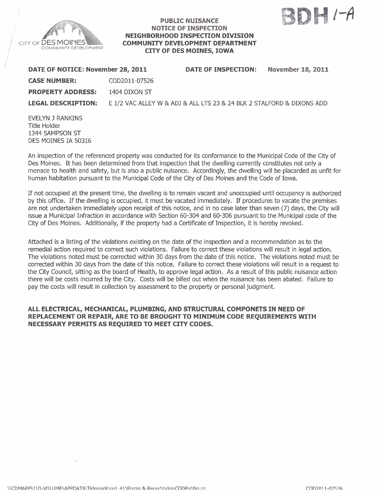

/

# PUBLIC NUISANCE NOTICE OF INSPECTION NEIGHBORHOOD INSPECTION DIVISION COMMUNITY DEVELOPMENT DEPARTMENT CITY OF DES MOINES, IOWA



| DATE OF NOTICE: November 28, 2011 |               | DATE OF INSPECTION:                                                   | <b>November 18, 2011</b> |
|-----------------------------------|---------------|-----------------------------------------------------------------------|--------------------------|
| <b>CASE NUMBER:</b>               | COD2011-07526 |                                                                       |                          |
| <b>PROPERTY ADDRESS:</b>          | 1404 DIXON ST |                                                                       |                          |
| <b>LEGAL DESCRIPTION:</b>         |               | E 1/2 VAC ALLEY W & ADJ & ALL LTS 23 & 24 BLK 2 STALFORD & DIXONS ADD |                          |
| <b>CLICIAL TRANSIC</b>            |               |                                                                       |                          |

EVELYN J RANKINS Title Holder 1344 SAMPSON ST DES MOINES IA 50316

An inspection of the referenced property was conducted for its conformance to the Municipal Code of the City of Des Moines. It has been determined from that inspection that the dwelling currently constitutes not only a menace to health and safety, but is also a public nuisance. Accordingly, the dwelling will be placarded as unfit for human habitation pursuant to the Municipal Code of the City of Des Moines and the Code of Iowa.

If not occupied at the present time, the dwelling is to remain vacant and unoccupied until occupancy is authorized by this office. If the dwelling is occupied, it must be vacated immediately. If procedures to vacate the premises are not undertaken immediately upon receipt of this notice, and in no case later than seven (7) days, the City wil issue a Municipal Infraction in accordance with Section 60-304 and 60-306 pursuant to the Municipal code of the City of Des Moines. Additionally, if the property had a Certificate of Inspection, it is hereby revoked.

Attached is a listing of the violations existing on the date of the inspection and a recommendation as to the remedial action required to correct such violations. Failure to correct these violations will result in legal action. The violations noted must be corrected within 30 days from the date of this notice. The violations noted must be corrected within 30 days from the date of this notice. Failure to correct these violations will result in a request to the City Council, sitting as the board of Health, to approve legal action. As a result of this public nuisance action there will be costs incurred by the City. Costs wil be biled out when the nuisance has been abated. Failure to pay the costs will result in collection by assessment to the property or personal judgment.

# ALL ELECTRICAL, MECHANICAL, PLUMBING, AND STRUCTURAL COMPONETS IN NEED OF REPLACEMENT OR REPAIR, ARE TO BE BROUGHT TO MINIMUM CODE REQUIREMENTS WITH NECESSARY PERMITS AS REQUIRED TO MEET CITY CODES.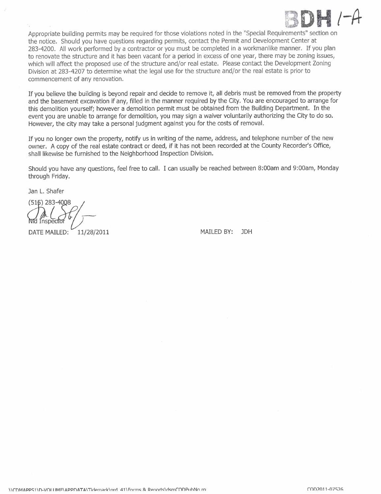

Appropriate building permits may be required for those violations noted in the "Special Requirements" section on the notice. Should you have questions regarding permits, contact the Permit and Development Center at 283-4200. All work performed by a contractor or you must be completed in a workmanlike manner. If you plan to renovate the structure and it has been vacant for a period in excess of one year, there may be zoning issues, which will affect the proposed use of the structure and/or real estate. Please contact the Development Zoning Division at 283-4207 to determine what the legal use for the structure and/or the real estate is prior to commencement of any renovation.

If you believe the building is beyond repair and decide to remove it, all debris must be removed from the propert and the basement excavation if any, filled in the manner required by the City. You are encouraged to arrange for this demolition yourself; however a demolition permit must be obtained from the Building Department. In the event you are unable to arrange for demolition, you may sign a waiver voluntarily authorizing the City to do so. However, the city may take a personal judgment against you for the costs of removaL.

If you no longer own the property, notify us in writing of the name, address, and telephone number of the new owner. A copy of the real estate contract or deed, if it has not been recorded at the County Recorder's Office, shall likewise be furnished to the Neighborhood Inspection Division.

Should you have any questions, feel free to calL. I can usually be reached between 8:00am and 9:00am, Monday through Friday.

Jan L. Shafer

(515) 283-4008 1nspecto

DATE MAILED: 11/28/2011 MAILED BY: JDH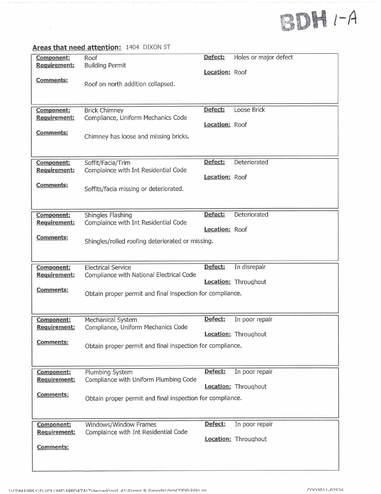# $BDHI - A$

# Areas that need attention: 1404 DIXON ST

 $\mathbb{R}^n$  . The  $\mathbb{R}^n$ 

| <b>Component:</b>                        | Roof                                                          | Defect:               | Holes or major defect       |
|------------------------------------------|---------------------------------------------------------------|-----------------------|-----------------------------|
| Requirement:                             | <b>Building Permit</b>                                        |                       |                             |
|                                          |                                                               | Location: Roof        |                             |
| Comments:                                | Roof on north addition collapsed.                             |                       |                             |
|                                          |                                                               |                       |                             |
|                                          |                                                               |                       |                             |
| Component:                               | <b>Brick Chimney</b>                                          | Defect:               | Loose Brick                 |
| <b>Requirement:</b>                      | Compliance, Uniform Mechanics Code                            |                       |                             |
|                                          |                                                               | <b>Location: Roof</b> |                             |
| <b>Comments:</b>                         |                                                               |                       |                             |
|                                          | Chimney has loose and missing bricks.                         |                       |                             |
|                                          |                                                               |                       |                             |
| <b>Component:</b>                        | Soffit/Facia/Trim                                             | Defect:               | Deteriorated                |
| <b>Requirement:</b>                      | Complaince with Int Residential Code                          |                       |                             |
|                                          |                                                               | Location: Roof        |                             |
| <u>Comments:</u>                         | Soffits/facia missing or deteriorated.                        |                       |                             |
|                                          |                                                               |                       |                             |
|                                          |                                                               |                       |                             |
| Component:                               | <b>Shingles Flashing</b>                                      | Defect:               | Deteriorated                |
| <b>Requirement:</b>                      | Complaince with Int Residential Code                          |                       |                             |
|                                          |                                                               | Location: Roof        |                             |
| <b>Comments:</b>                         | Shingles/rolled roofing deteriorated or missing.              |                       |                             |
|                                          |                                                               |                       |                             |
|                                          |                                                               |                       |                             |
| <b>Component:</b>                        | <b>Electrical Service</b>                                     |                       |                             |
|                                          |                                                               | Defect:               | In disrepair                |
| Requirement:                             | Compliance with National Electrical Code                      |                       |                             |
|                                          |                                                               |                       | <b>Location:</b> Throughout |
| <b>Comments:</b>                         | Obtain proper permit and final inspection for compliance.     |                       |                             |
|                                          |                                                               |                       |                             |
|                                          |                                                               |                       |                             |
| <b>Component:</b>                        | Mechanical System                                             | Defect:               | In poor repair              |
| Requirement:                             | Compliance, Uniform Mechanics Code                            |                       |                             |
|                                          |                                                               |                       | Location: Throughout        |
| Comments:                                | Obtain proper permit and final inspection for compliance.     |                       |                             |
|                                          |                                                               |                       |                             |
|                                          |                                                               |                       |                             |
| <b>Component:</b>                        | Plumbing System                                               | Defect:               | In poor repair              |
| <b>Requirement:</b>                      | Compliance with Uniform Plumbing Code                         |                       |                             |
| Comments:                                |                                                               |                       | <b>Location:</b> Throughout |
|                                          | Obtain proper permit and final inspection for compliance.     |                       |                             |
|                                          |                                                               |                       |                             |
|                                          |                                                               |                       |                             |
| <b>Component:</b><br><b>Requirement:</b> | Windows/Window Frames<br>Complaince with Int Residential Code | Defect:               | In poor repair              |
|                                          |                                                               |                       | <b>Location:</b> Throughout |
| <b>Comments:</b>                         |                                                               |                       |                             |
|                                          |                                                               |                       |                             |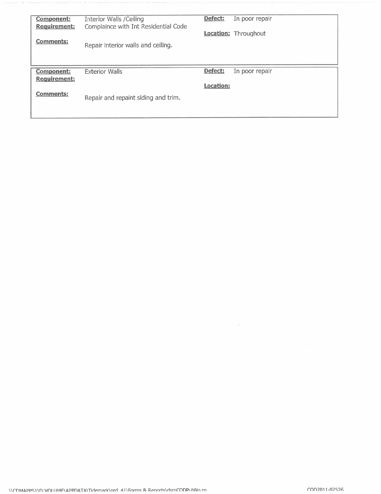| <b>Component:</b><br><b>Requirement:</b> | Interior Walls / Ceiling<br>Complaince with Int Residential Code | Defect:<br>In poor repair<br><b>Location:</b> Throughout |
|------------------------------------------|------------------------------------------------------------------|----------------------------------------------------------|
| <b>Comments:</b>                         | Repair interior walls and ceiling.                               |                                                          |
| <b>Component:</b>                        | <b>Exterior Walls</b>                                            | Defect:<br>In poor repair                                |
| <b>Requirement:</b><br><b>Comments:</b>  |                                                                  | <b>Location:</b>                                         |

 $\mathcal{B}^{\prime}$  . The  $\mathcal{B}^{\prime}$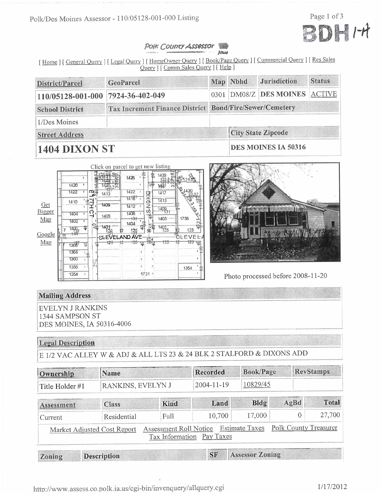

### Polk County Assessor **ROOM**

[Home ] [General Query ] [Legal Query ] [HomeOwner Query ] [Book/Page Query ] [Commercial Query ] [Res Sales Query ] [ Comm Sales Query ] [ Help ]

| District/Parcel                                                                   | <b>GeoParcel</b> |  | Map Nbhd | <b>Jurisdiction</b>           | <b>Status</b> |  |
|-----------------------------------------------------------------------------------|------------------|--|----------|-------------------------------|---------------|--|
| $110/05128 - 001 - 000$                                                           | 7924-36-402-049  |  |          | 0301 DM08/Z DES MOINES ACTIVE |               |  |
| Tax Increment Finance District Bond/Fire/Sewer/Cemetery<br><b>School District</b> |                  |  |          |                               |               |  |
| 1/Des Moines                                                                      |                  |  |          |                               |               |  |
| <b>Street Address</b>                                                             |                  |  |          | <b>City State Zipcode</b>     |               |  |
| <b>1404 DIXON ST</b>                                                              |                  |  |          | <b>DES MOINES IA 50316</b>    |               |  |

#### Click on parcel to get new listing 1429 1428  $1425$ 1461 1422 1422 NOXIG-**ITT**  $\cdot$ 1417  $1413$ 14倍 Ŧ  $1413$ 1410 ᆛ Get 1409  $1412$ τ  $1409.1$ Bigger ŏ, Ó 140B taru τ 1405  $1405 -$ 1759 Map  $+3+$ 1402  $\overline{E}$ 1404 1401<br>12  $\frac{4}{3}$  $1401$ <sub>125</sub>  $\frac{1400}{140}$ 125 125 50 Google .<br>GLEVEL **CLEVELAND AVE** 125 달 Map 171  $1367$ 1354 1350 ×, 1356 1354 1354  $1731:$



Photo processed before 2008-11-20

# **Mailing Address**

**EVELYN J RANKINS** 1344 SAMPSON ST DES MOINES, IA 50316-4006

# **Legal Description**

E 1/2 VAC ALLEY W & ADJ & ALL LTS 23 & 24 BLK 2 STALFORD & DIXONS ADD

| Ownership       | Name                        |                                           |                  | <b>Book/Page</b>       |      | <b>RevStamps</b>      |  |
|-----------------|-----------------------------|-------------------------------------------|------------------|------------------------|------|-----------------------|--|
| Title Holder #1 | RANKINS, EVELYN J           |                                           | $2004 - 11 - 19$ | 10829/45               |      |                       |  |
| Assessment      | <b>Class</b>                | <b>Kind</b>                               | Land             | <b>Bldg</b>            | AgBd | <b>Total</b>          |  |
| Current         | Residential                 | Full                                      | 10,700           | 17,000                 |      | 27,700<br>$\Omega$    |  |
|                 | Market Adjusted Cost Report | Assessment Roll Notice<br>Tax Information | Pay Taxes        | <b>Estimate Taxes</b>  |      | Polk County Treasurer |  |
| Zoning          | <b>Description</b>          |                                           | <b>SF</b>        | <b>Assessor Zoning</b> |      |                       |  |

http://www.assess.co.polk.ia.us/cgi-bin/invenquery/allquery.cgi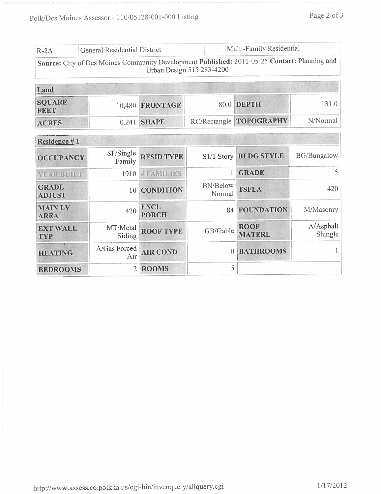| $R-2A$                        | General Residential District                                                                 |                             | Multi-Family Residential  |                              |                      |
|-------------------------------|----------------------------------------------------------------------------------------------|-----------------------------|---------------------------|------------------------------|----------------------|
|                               | Source: City of Des Moines Community Development Published: 2011-05-25 Contact: Planning and |                             | Urban Design 515 283-4200 |                              |                      |
| Land                          |                                                                                              |                             |                           |                              |                      |
| <b>SQUARE</b><br><b>FEET</b>  | 10,480                                                                                       | <b>FRONTAGE</b>             |                           | 80.0 DEPTH                   | 131.0                |
| <b>ACRES</b>                  |                                                                                              | 0.241 SHAPE                 | RC/Rectangle              | <b>TOPOGRAPHY</b>            | N/Normal             |
| Residence #1                  |                                                                                              |                             |                           |                              |                      |
| <b>OCCUPANCY</b>              | SF/Single<br>Family                                                                          | <b>RESID TYPE</b>           | S1/1 Story                | <b>BLDG STYLE</b>            | <b>BG/Bungalow</b>   |
| YEAR BUILT                    | 1910                                                                                         | <b>#FAMILIES</b>            | 1                         | <b>GRADE</b>                 | 5                    |
| <b>GRADE</b><br><b>ADJUST</b> | $-10$                                                                                        | <b>CONDITION</b>            | <b>BN/Below</b><br>Normal | <b>TSFLA</b>                 | 420                  |
| <b>MAINLV</b><br><b>AREA</b>  | 420                                                                                          | <b>ENCL</b><br><b>PORCH</b> | 84                        | <b>FOUNDATION</b>            | M/Masonry            |
| <b>EXT WALL</b><br>TYP        | MT/Metal<br>Siding                                                                           | <b>ROOF TYPE</b>            | GB/Gable                  | <b>ROOF</b><br><b>MATERL</b> | A/Asphalt<br>Shingle |
| <b>HEATING</b>                | A/Gas Forced<br>Air                                                                          | <b>AIR COND</b>             | $\theta$                  | <b>BATHROOMS</b>             | 1                    |
| <b>BEDROOMS</b>               | $\overline{2}$                                                                               | <b>ROOMS</b>                | 5                         |                              |                      |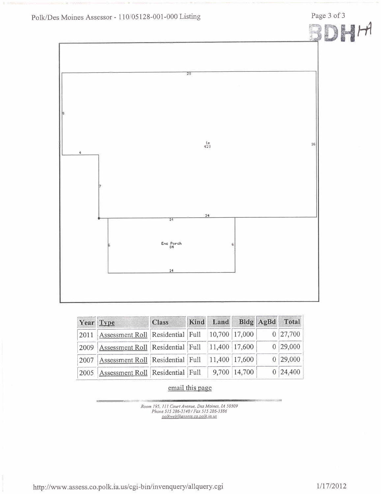Page 3 of 3



| Year Type |                                                                                 | <b>Class</b> | Kind Land Bldg AgBd Total |                |          |
|-----------|---------------------------------------------------------------------------------|--------------|---------------------------|----------------|----------|
|           | $\vert 2011 \vert$ Assessment Roll Residential Full $\vert 10,700 \vert 17,000$ |              |                           |                | 0 27,700 |
|           | $\vert 2009 \vert$ Assessment Roll Residential Full $\vert 11,400 \vert 17,600$ |              |                           |                | 0 29,000 |
|           | 2007   Assessment Roll   Residential   Full                                     |              | 11,400 17,600             |                | 0 29,000 |
| 2005      | Assessment Roll Residential Full                                                |              |                           | 9,700   14,700 | 0 24,400 |

email this page

Room 195, 111 Court Avenue, Des Moines, 14 50309<br>Phone 515 286-3140 / Fax 515 286-3386<br>polkweb@assess.co.polk.ia.us